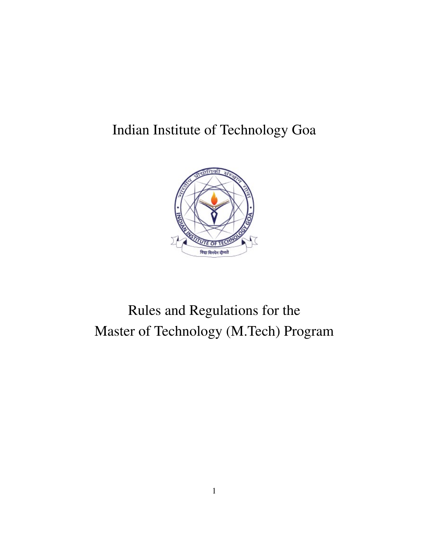# Indian Institute of Technology Goa



# Rules and Regulations for the Master of Technology (M.Tech) Program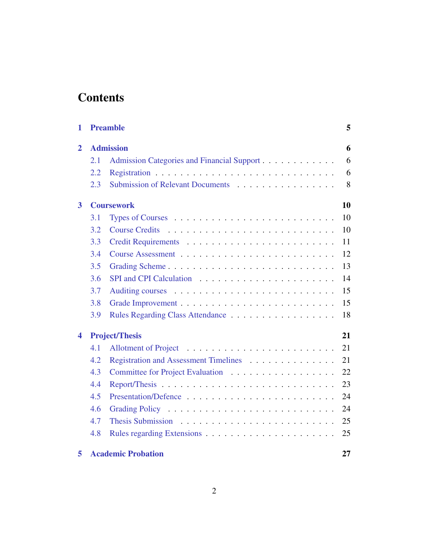# **Contents**

| 1                       |     | <b>Preamble</b>                            | 5  |  |  |  |  |  |
|-------------------------|-----|--------------------------------------------|----|--|--|--|--|--|
| $\overline{2}$          |     | <b>Admission</b><br>6                      |    |  |  |  |  |  |
|                         | 2.1 | Admission Categories and Financial Support | 6  |  |  |  |  |  |
|                         | 2.2 |                                            | 6  |  |  |  |  |  |
|                         | 2.3 | Submission of Relevant Documents           | 8  |  |  |  |  |  |
| $\overline{\mathbf{3}}$ |     | 10<br><b>Coursework</b>                    |    |  |  |  |  |  |
|                         | 3.1 |                                            | 10 |  |  |  |  |  |
|                         | 3.2 | <b>Course Credits</b>                      | 10 |  |  |  |  |  |
|                         | 3.3 |                                            | 11 |  |  |  |  |  |
|                         | 3.4 |                                            | 12 |  |  |  |  |  |
|                         | 3.5 | Grading Scheme                             | 13 |  |  |  |  |  |
|                         | 3.6 |                                            | 14 |  |  |  |  |  |
|                         | 3.7 |                                            | 15 |  |  |  |  |  |
|                         | 3.8 |                                            | 15 |  |  |  |  |  |
|                         | 3.9 |                                            | 18 |  |  |  |  |  |
| 4                       |     | <b>Project/Thesis</b>                      | 21 |  |  |  |  |  |
|                         | 4.1 |                                            | 21 |  |  |  |  |  |
|                         | 4.2 | Registration and Assessment Timelines      | 21 |  |  |  |  |  |
|                         | 4.3 | Committee for Project Evaluation           | 22 |  |  |  |  |  |
|                         | 4.4 |                                            | 23 |  |  |  |  |  |
|                         | 4.5 |                                            | 24 |  |  |  |  |  |
|                         | 4.6 |                                            | 24 |  |  |  |  |  |
|                         | 4.7 |                                            | 25 |  |  |  |  |  |
|                         | 4.8 |                                            | 25 |  |  |  |  |  |
| 5                       |     | <b>Academic Probation</b>                  | 27 |  |  |  |  |  |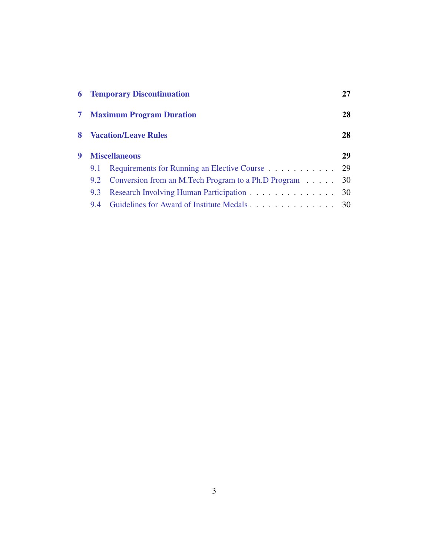|                |                             | <b>6</b> Temporary Discontinuation                     | 27 |
|----------------|-----------------------------|--------------------------------------------------------|----|
| 7 <sup>1</sup> |                             | <b>Maximum Program Duration</b>                        | 28 |
| 8              | <b>Vacation/Leave Rules</b> | 28                                                     |    |
| 9              | <b>Miscellaneous</b>        |                                                        |    |
|                | 9.1                         | Requirements for Running an Elective Course            | 29 |
|                | 9.2                         | Conversion from an M.Tech Program to a Ph.D Program 30 |    |
|                | 9.3                         | Research Involving Human Participation 30              |    |
|                | 9.4                         |                                                        |    |
|                |                             |                                                        |    |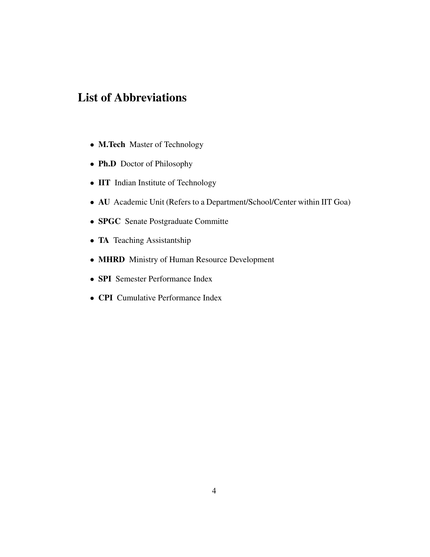# List of Abbreviations

- M.Tech Master of Technology
- Ph.D Doctor of Philosophy
- IIT Indian Institute of Technology
- AU Academic Unit (Refers to a Department/School/Center within IIT Goa)
- SPGC Senate Postgraduate Committe
- TA Teaching Assistantship
- MHRD Ministry of Human Resource Development
- SPI Semester Performance Index
- CPI Cumulative Performance Index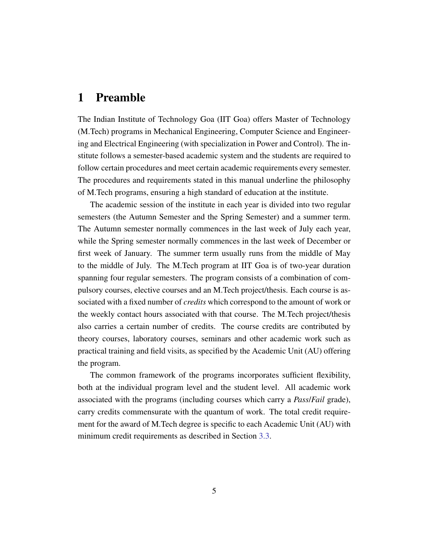## <span id="page-4-0"></span>1 Preamble

The Indian Institute of Technology Goa (IIT Goa) offers Master of Technology (M.Tech) programs in Mechanical Engineering, Computer Science and Engineering and Electrical Engineering (with specialization in Power and Control). The institute follows a semester-based academic system and the students are required to follow certain procedures and meet certain academic requirements every semester. The procedures and requirements stated in this manual underline the philosophy of M.Tech programs, ensuring a high standard of education at the institute.

The academic session of the institute in each year is divided into two regular semesters (the Autumn Semester and the Spring Semester) and a summer term. The Autumn semester normally commences in the last week of July each year, while the Spring semester normally commences in the last week of December or first week of January. The summer term usually runs from the middle of May to the middle of July. The M.Tech program at IIT Goa is of two-year duration spanning four regular semesters. The program consists of a combination of compulsory courses, elective courses and an M.Tech project/thesis. Each course is associated with a fixed number of *credits* which correspond to the amount of work or the weekly contact hours associated with that course. The M.Tech project/thesis also carries a certain number of credits. The course credits are contributed by theory courses, laboratory courses, seminars and other academic work such as practical training and field visits, as specified by the Academic Unit (AU) offering the program.

The common framework of the programs incorporates sufficient flexibility, both at the individual program level and the student level. All academic work associated with the programs (including courses which carry a *Pass*/*Fail* grade), carry credits commensurate with the quantum of work. The total credit requirement for the award of M.Tech degree is specific to each Academic Unit (AU) with minimum credit requirements as described in Section [3.3.](#page-10-0)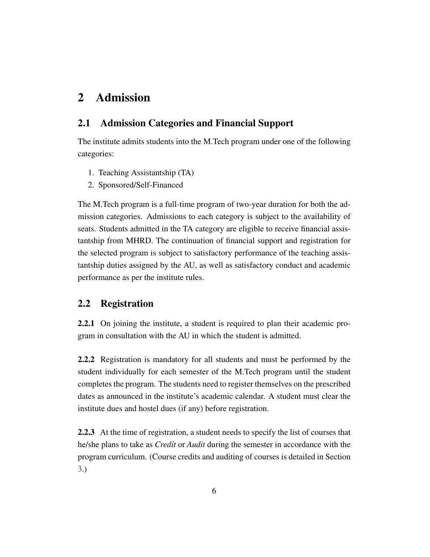# <span id="page-5-0"></span>2 Admission

## <span id="page-5-1"></span>2.1 Admission Categories and Financial Support

The institute admits students into the M.Tech program under one of the following categories:

- 1. Teaching Assistantship (TA)
- 2. Sponsored/Self-Financed

The M.Tech program is a full-time program of two-year duration for both the admission categories. Admissions to each category is subject to the availability of seats. Students admitted in the TA category are eligible to receive financial assistantship from MHRD. The continuation of financial support and registration for the selected program is subject to satisfactory performance of the teaching assistantship duties assigned by the AU, as well as satisfactory conduct and academic performance as per the institute rules.

## <span id="page-5-2"></span>2.2 Registration

2.2.1 On joining the institute, a student is required to plan their academic program in consultation with the AU in which the student is admitted.

2.2.2 Registration is mandatory for all students and must be performed by the student individually for each semester of the M.Tech program until the student completes the program. The students need to register themselves on the prescribed dates as announced in the institute's academic calendar. A student must clear the institute dues and hostel dues (if any) before registration.

2.2.3 At the time of registration, a student needs to specify the list of courses that he/she plans to take as *Credit* or *Audit* during the semester in accordance with the program curriculum. (Course credits and auditing of courses is detailed in Section [3.](#page-9-0))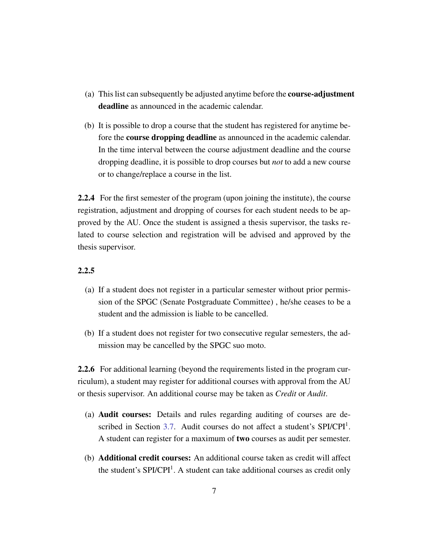- (a) This list can subsequently be adjusted anytime before the course-adjustment deadline as announced in the academic calendar.
- (b) It is possible to drop a course that the student has registered for anytime before the **course dropping deadline** as announced in the academic calendar. In the time interval between the course adjustment deadline and the course dropping deadline, it is possible to drop courses but *not* to add a new course or to change/replace a course in the list.

2.2.4 For the first semester of the program (upon joining the institute), the course registration, adjustment and dropping of courses for each student needs to be approved by the AU. Once the student is assigned a thesis supervisor, the tasks related to course selection and registration will be advised and approved by the thesis supervisor.

#### 2.2.5

- (a) If a student does not register in a particular semester without prior permission of the SPGC (Senate Postgraduate Committee) , he/she ceases to be a student and the admission is liable to be cancelled.
- (b) If a student does not register for two consecutive regular semesters, the admission may be cancelled by the SPGC suo moto.

2.2.6 For additional learning (beyond the requirements listed in the program curriculum), a student may register for additional courses with approval from the AU or thesis supervisor. An additional course may be taken as *Credit* or *Audit*.

- (a) Audit courses: Details and rules regarding auditing of courses are de-scribed in Section [3.7.](#page-14-0) Audit courses do not affect a student's SPI/CPI<sup>1</sup>. A student can register for a maximum of two courses as audit per semester.
- (b) Additional credit courses: An additional course taken as credit will affect the student's  $SPI/CPI<sup>1</sup>$ . A student can take additional courses as credit only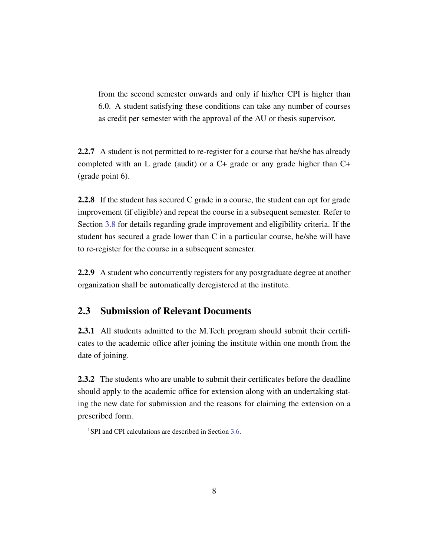from the second semester onwards and only if his/her CPI is higher than 6.0. A student satisfying these conditions can take any number of courses as credit per semester with the approval of the AU or thesis supervisor.

2.2.7 A student is not permitted to re-register for a course that he/she has already completed with an L grade (audit) or a C+ grade or any grade higher than C+ (grade point 6).

2.2.8 If the student has secured C grade in a course, the student can opt for grade improvement (if eligible) and repeat the course in a subsequent semester. Refer to Section [3.8](#page-14-1) for details regarding grade improvement and eligibility criteria. If the student has secured a grade lower than C in a particular course, he/she will have to re-register for the course in a subsequent semester.

2.2.9 A student who concurrently registers for any postgraduate degree at another organization shall be automatically deregistered at the institute.

## <span id="page-7-0"></span>2.3 Submission of Relevant Documents

2.3.1 All students admitted to the M.Tech program should submit their certificates to the academic office after joining the institute within one month from the date of joining.

2.3.2 The students who are unable to submit their certificates before the deadline should apply to the academic office for extension along with an undertaking stating the new date for submission and the reasons for claiming the extension on a prescribed form.

<sup>&</sup>lt;sup>1</sup>SPI and CPI calculations are described in Section [3.6.](#page-13-0)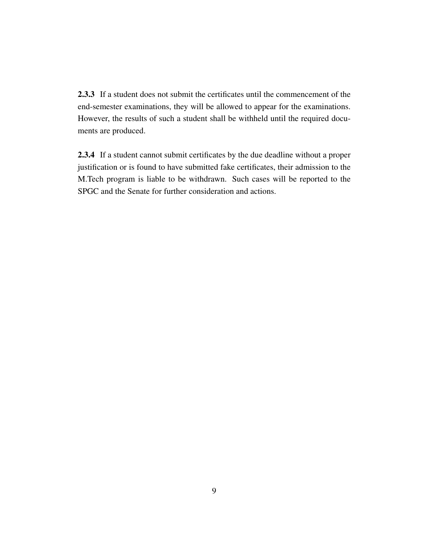2.3.3 If a student does not submit the certificates until the commencement of the end-semester examinations, they will be allowed to appear for the examinations. However, the results of such a student shall be withheld until the required documents are produced.

2.3.4 If a student cannot submit certificates by the due deadline without a proper justification or is found to have submitted fake certificates, their admission to the M.Tech program is liable to be withdrawn. Such cases will be reported to the SPGC and the Senate for further consideration and actions.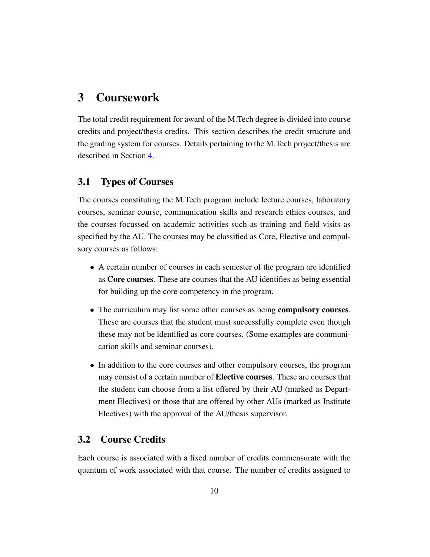## <span id="page-9-0"></span>3 Coursework

The total credit requirement for award of the M.Tech degree is divided into course credits and project/thesis credits. This section describes the credit structure and the grading system for courses. Details pertaining to the M.Tech project/thesis are described in Section [4.](#page-20-0)

## <span id="page-9-1"></span>3.1 Types of Courses

The courses constituting the M.Tech program include lecture courses, laboratory courses, seminar course, communication skills and research ethics courses, and the courses focussed on academic activities such as training and field visits as specified by the AU. The courses may be classified as Core, Elective and compulsory courses as follows:

- A certain number of courses in each semester of the program are identified as Core courses. These are courses that the AU identifies as being essential for building up the core competency in the program.
- The curriculum may list some other courses as being **compulsory courses**. These are courses that the student must successfully complete even though these may not be identified as core courses. (Some examples are communication skills and seminar courses).
- In addition to the core courses and other compulsory courses, the program may consist of a certain number of **Elective courses**. These are courses that the student can choose from a list offered by their AU (marked as Department Electives) or those that are offered by other AUs (marked as Institute Electives) with the approval of the AU/thesis supervisor.

## <span id="page-9-2"></span>3.2 Course Credits

Each course is associated with a fixed number of credits commensurate with the quantum of work associated with that course. The number of credits assigned to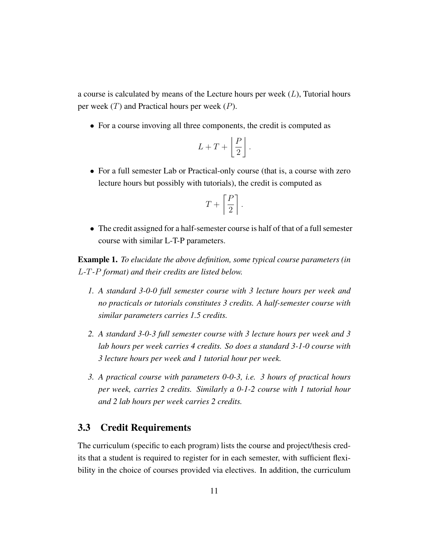a course is calculated by means of the Lecture hours per week  $(L)$ , Tutorial hours per week  $(T)$  and Practical hours per week  $(P)$ .

• For a course invoving all three components, the credit is computed as

$$
L+T+\left\lfloor\frac{P}{2}\right\rfloor.
$$

• For a full semester Lab or Practical-only course (that is, a course with zero lecture hours but possibly with tutorials), the credit is computed as

$$
T+\left\lceil\frac{P}{2}\right\rceil.
$$

• The credit assigned for a half-semester course is half of that of a full semester course with similar L-T-P parameters.

Example 1. *To elucidate the above definition, some typical course parameters (in* L*-*T*-*P *format) and their credits are listed below.*

- *1. A standard 3-0-0 full semester course with 3 lecture hours per week and no practicals or tutorials constitutes 3 credits. A half-semester course with similar parameters carries 1.5 credits.*
- *2. A standard 3-0-3 full semester course with 3 lecture hours per week and 3 lab hours per week carries 4 credits. So does a standard 3-1-0 course with 3 lecture hours per week and 1 tutorial hour per week.*
- *3. A practical course with parameters 0-0-3, i.e. 3 hours of practical hours per week, carries 2 credits. Similarly a 0-1-2 course with 1 tutorial hour and 2 lab hours per week carries 2 credits.*

## <span id="page-10-0"></span>3.3 Credit Requirements

The curriculum (specific to each program) lists the course and project/thesis credits that a student is required to register for in each semester, with sufficient flexibility in the choice of courses provided via electives. In addition, the curriculum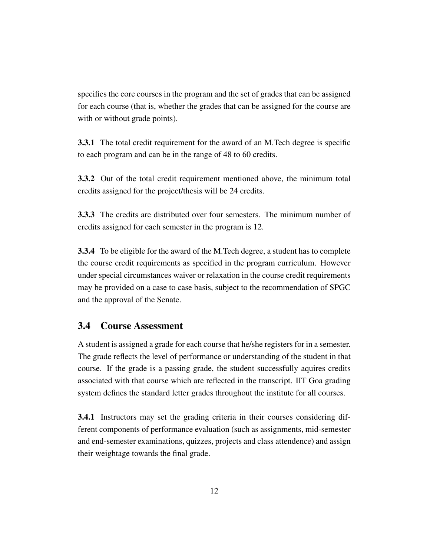specifies the core courses in the program and the set of grades that can be assigned for each course (that is, whether the grades that can be assigned for the course are with or without grade points).

3.3.1 The total credit requirement for the award of an M.Tech degree is specific to each program and can be in the range of 48 to 60 credits.

3.3.2 Out of the total credit requirement mentioned above, the minimum total credits assigned for the project/thesis will be 24 credits.

3.3.3 The credits are distributed over four semesters. The minimum number of credits assigned for each semester in the program is 12.

3.3.4 To be eligible for the award of the M.Tech degree, a student has to complete the course credit requirements as specified in the program curriculum. However under special circumstances waiver or relaxation in the course credit requirements may be provided on a case to case basis, subject to the recommendation of SPGC and the approval of the Senate.

#### <span id="page-11-0"></span>3.4 Course Assessment

A student is assigned a grade for each course that he/she registers for in a semester. The grade reflects the level of performance or understanding of the student in that course. If the grade is a passing grade, the student successfully aquires credits associated with that course which are reflected in the transcript. IIT Goa grading system defines the standard letter grades throughout the institute for all courses.

3.4.1 Instructors may set the grading criteria in their courses considering different components of performance evaluation (such as assignments, mid-semester and end-semester examinations, quizzes, projects and class attendence) and assign their weightage towards the final grade.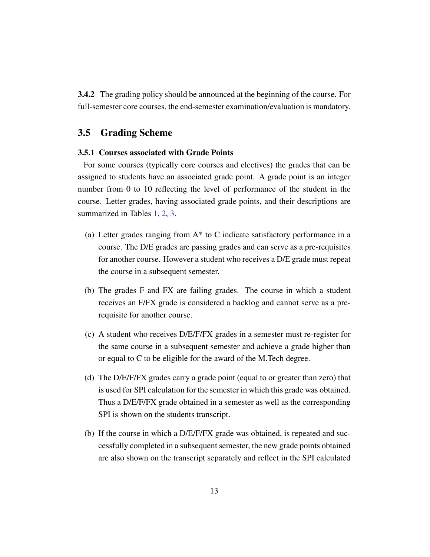3.4.2 The grading policy should be announced at the beginning of the course. For full-semester core courses, the end-semester examination/evaluation is mandatory.

#### <span id="page-12-0"></span>3.5 Grading Scheme

#### 3.5.1 Courses associated with Grade Points

For some courses (typically core courses and electives) the grades that can be assigned to students have an associated grade point. A grade point is an integer number from 0 to 10 reflecting the level of performance of the student in the course. Letter grades, having associated grade points, and their descriptions are summarized in Tables [1,](#page-15-0) [2,](#page-16-0) [3.](#page-16-1)

- (a) Letter grades ranging from A\* to C indicate satisfactory performance in a course. The D/E grades are passing grades and can serve as a pre-requisites for another course. However a student who receives a D/E grade must repeat the course in a subsequent semester.
- (b) The grades F and FX are failing grades. The course in which a student receives an F/FX grade is considered a backlog and cannot serve as a prerequisite for another course.
- (c) A student who receives D/E/F/FX grades in a semester must re-register for the same course in a subsequent semester and achieve a grade higher than or equal to C to be eligible for the award of the M.Tech degree.
- (d) The D/E/F/FX grades carry a grade point (equal to or greater than zero) that is used for SPI calculation for the semester in which this grade was obtained. Thus a D/E/F/FX grade obtained in a semester as well as the corresponding SPI is shown on the students transcript.
- (b) If the course in which a D/E/F/FX grade was obtained, is repeated and successfully completed in a subsequent semester, the new grade points obtained are also shown on the transcript separately and reflect in the SPI calculated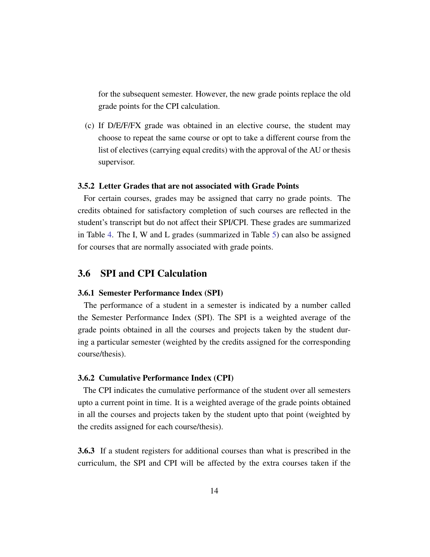for the subsequent semester. However, the new grade points replace the old grade points for the CPI calculation.

(c) If D/E/F/FX grade was obtained in an elective course, the student may choose to repeat the same course or opt to take a different course from the list of electives (carrying equal credits) with the approval of the AU or thesis supervisor.

#### 3.5.2 Letter Grades that are not associated with Grade Points

For certain courses, grades may be assigned that carry no grade points. The credits obtained for satisfactory completion of such courses are reflected in the student's transcript but do not affect their SPI/CPI. These grades are summarized in Table [4.](#page-17-1) The I, W and L grades (summarized in Table [5\)](#page-18-0) can also be assigned for courses that are normally associated with grade points.

#### <span id="page-13-0"></span>3.6 SPI and CPI Calculation

#### 3.6.1 Semester Performance Index (SPI)

The performance of a student in a semester is indicated by a number called the Semester Performance Index (SPI). The SPI is a weighted average of the grade points obtained in all the courses and projects taken by the student during a particular semester (weighted by the credits assigned for the corresponding course/thesis).

#### 3.6.2 Cumulative Performance Index (CPI)

The CPI indicates the cumulative performance of the student over all semesters upto a current point in time. It is a weighted average of the grade points obtained in all the courses and projects taken by the student upto that point (weighted by the credits assigned for each course/thesis).

3.6.3 If a student registers for additional courses than what is prescribed in the curriculum, the SPI and CPI will be affected by the extra courses taken if the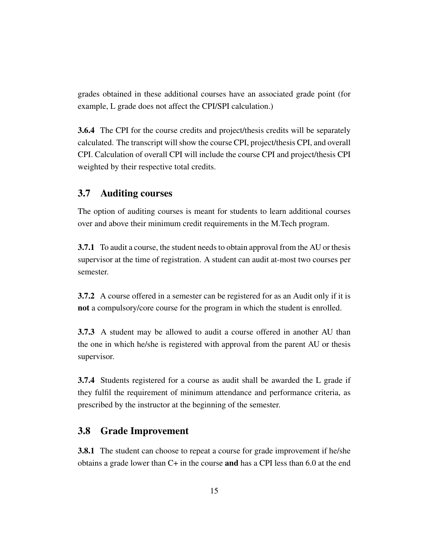grades obtained in these additional courses have an associated grade point (for example, L grade does not affect the CPI/SPI calculation.)

3.6.4 The CPI for the course credits and project/thesis credits will be separately calculated. The transcript will show the course CPI, project/thesis CPI, and overall CPI. Calculation of overall CPI will include the course CPI and project/thesis CPI weighted by their respective total credits.

#### <span id="page-14-0"></span>3.7 Auditing courses

The option of auditing courses is meant for students to learn additional courses over and above their minimum credit requirements in the M.Tech program.

3.7.1 To audit a course, the student needs to obtain approval from the AU or thesis supervisor at the time of registration. A student can audit at-most two courses per semester.

3.7.2 A course offered in a semester can be registered for as an Audit only if it is not a compulsory/core course for the program in which the student is enrolled.

3.7.3 A student may be allowed to audit a course offered in another AU than the one in which he/she is registered with approval from the parent AU or thesis supervisor.

3.7.4 Students registered for a course as audit shall be awarded the L grade if they fulfil the requirement of minimum attendance and performance criteria, as prescribed by the instructor at the beginning of the semester.

#### <span id="page-14-1"></span>3.8 Grade Improvement

**3.8.1** The student can choose to repeat a course for grade improvement if he/she obtains a grade lower than  $C+$  in the course **and** has a CPI less than 6.0 at the end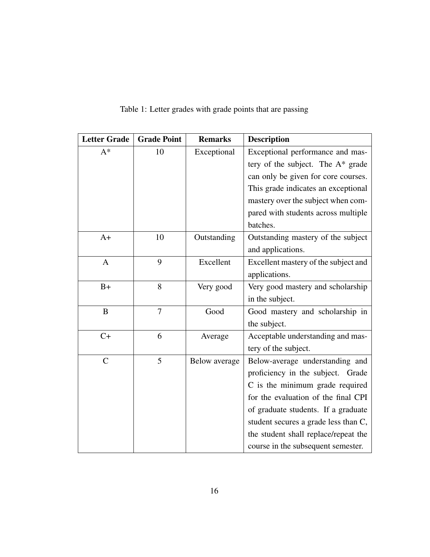| <b>Letter Grade</b> | <b>Grade Point</b> | <b>Remarks</b> | <b>Description</b>                   |
|---------------------|--------------------|----------------|--------------------------------------|
| $A^*$               | 10                 | Exceptional    | Exceptional performance and mas-     |
|                     |                    |                | tery of the subject. The $A^*$ grade |
|                     |                    |                | can only be given for core courses.  |
|                     |                    |                | This grade indicates an exceptional  |
|                     |                    |                | mastery over the subject when com-   |
|                     |                    |                | pared with students across multiple  |
|                     |                    |                | batches.                             |
| $A+$                | 10                 | Outstanding    | Outstanding mastery of the subject   |
|                     |                    |                | and applications.                    |
| $\mathbf{A}$        | 9                  | Excellent      | Excellent mastery of the subject and |
|                     |                    |                | applications.                        |
| $B+$                | 8                  | Very good      | Very good mastery and scholarship    |
|                     |                    |                | in the subject.                      |
| B                   | 7                  | Good           | Good mastery and scholarship in      |
|                     |                    |                | the subject.                         |
| $C+$                | 6                  | Average        | Acceptable understanding and mas-    |
|                     |                    |                | tery of the subject.                 |
| $\mathsf{C}$        | 5                  | Below average  | Below-average understanding and      |
|                     |                    |                | proficiency in the subject. Grade    |
|                     |                    |                | C is the minimum grade required      |
|                     |                    |                | for the evaluation of the final CPI  |
|                     |                    |                | of graduate students. If a graduate  |
|                     |                    |                | student secures a grade less than C, |
|                     |                    |                | the student shall replace/repeat the |
|                     |                    |                | course in the subsequent semester.   |

<span id="page-15-0"></span>Table 1: Letter grades with grade points that are passing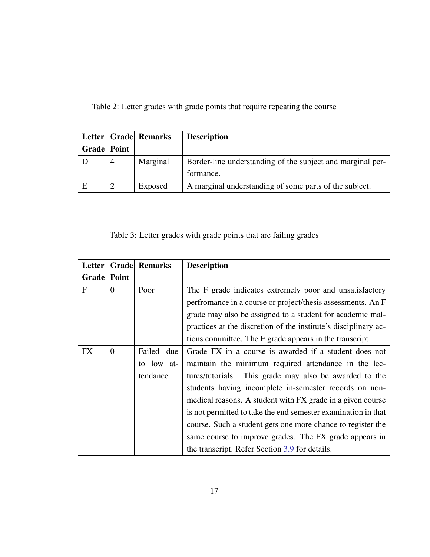<span id="page-16-0"></span>Table 2: Letter grades with grade points that require repeating the course

|                    |   | Letter Grade Remarks | <b>Description</b>                                         |
|--------------------|---|----------------------|------------------------------------------------------------|
| <b>Grade</b> Point |   |                      |                                                            |
|                    | 4 | Marginal             | Border-line understanding of the subject and marginal per- |
|                    |   |                      | formance.                                                  |
| E                  |   | Exposed              | A marginal understanding of some parts of the subject.     |

<span id="page-16-1"></span>Table 3: Letter grades with grade points that are failing grades

| Letter    | Grade       | <b>Remarks</b> | <b>Description</b>                                              |  |
|-----------|-------------|----------------|-----------------------------------------------------------------|--|
|           | Grade Point |                |                                                                 |  |
| F         | $\Omega$    | Poor           | The F grade indicates extremely poor and unsatisfactory         |  |
|           |             |                | perfromance in a course or project/thesis assessments. An F     |  |
|           |             |                | grade may also be assigned to a student for academic mal-       |  |
|           |             |                | practices at the discretion of the institute's disciplinary ac- |  |
|           |             |                | tions committee. The F grade appears in the transcript          |  |
| <b>FX</b> | $\Omega$    | Failed due     | Grade FX in a course is awarded if a student does not           |  |
|           |             | to low at-     | maintain the minimum required attendance in the lec-            |  |
|           |             | tendance       | tures/tutorials. This grade may also be awarded to the          |  |
|           |             |                | students having incomplete in-semester records on non-          |  |
|           |             |                | medical reasons. A student with FX grade in a given course      |  |
|           |             |                | is not permitted to take the end semester examination in that   |  |
|           |             |                | course. Such a student gets one more chance to register the     |  |
|           |             |                | same course to improve grades. The FX grade appears in          |  |
|           |             |                | the transcript. Refer Section 3.9 for details.                  |  |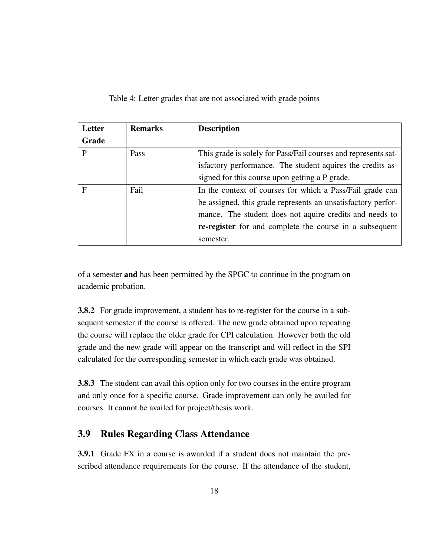<span id="page-17-1"></span>Table 4: Letter grades that are not associated with grade points

| Letter       | <b>Remarks</b> | <b>Description</b>                                             |  |
|--------------|----------------|----------------------------------------------------------------|--|
| Grade        |                |                                                                |  |
| P            | Pass           | This grade is solely for Pass/Fail courses and represents sat- |  |
|              |                | isfactory performance. The student aquires the credits as-     |  |
|              |                | signed for this course upon getting a P grade.                 |  |
| $\mathbf{F}$ | Fail           | In the context of courses for which a Pass/Fail grade can      |  |
|              |                | be assigned, this grade represents an unsatisfactory perfor-   |  |
|              |                | mance. The student does not aquire credits and needs to        |  |
|              |                | re-register for and complete the course in a subsequent        |  |
|              |                | semester.                                                      |  |

of a semester and has been permitted by the SPGC to continue in the program on academic probation.

3.8.2 For grade improvement, a student has to re-register for the course in a subsequent semester if the course is offered. The new grade obtained upon repeating the course will replace the older grade for CPI calculation. However both the old grade and the new grade will appear on the transcript and will reflect in the SPI calculated for the corresponding semester in which each grade was obtained.

3.8.3 The student can avail this option only for two courses in the entire program and only once for a specific course. Grade improvement can only be availed for courses. It cannot be availed for project/thesis work.

## <span id="page-17-0"></span>3.9 Rules Regarding Class Attendance

3.9.1 Grade FX in a course is awarded if a student does not maintain the prescribed attendance requirements for the course. If the attendance of the student,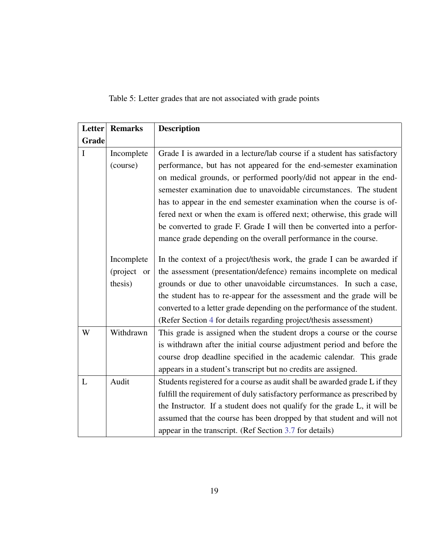<span id="page-18-0"></span>Table 5: Letter grades that are not associated with grade points

| Letter                    | <b>Remarks</b> | <b>Description</b>                                                         |  |  |
|---------------------------|----------------|----------------------------------------------------------------------------|--|--|
| Grade                     |                |                                                                            |  |  |
| Incomplete<br>I           |                | Grade I is awarded in a lecture/lab course if a student has satisfactory   |  |  |
|                           | (course)       | performance, but has not appeared for the end-semester examination         |  |  |
|                           |                | on medical grounds, or performed poorly/did not appear in the end-         |  |  |
|                           |                | semester examination due to unavoidable circumstances. The student         |  |  |
|                           |                | has to appear in the end semester examination when the course is of-       |  |  |
|                           |                | fered next or when the exam is offered next; otherwise, this grade will    |  |  |
|                           |                | be converted to grade F. Grade I will then be converted into a perfor-     |  |  |
|                           |                | mance grade depending on the overall performance in the course.            |  |  |
| Incomplete<br>(project or |                | In the context of a project/thesis work, the grade I can be awarded if     |  |  |
|                           |                | the assessment (presentation/defence) remains incomplete on medical        |  |  |
| thesis)                   |                | grounds or due to other unavoidable circumstances. In such a case,         |  |  |
|                           |                | the student has to re-appear for the assessment and the grade will be      |  |  |
|                           |                | converted to a letter grade depending on the performance of the student.   |  |  |
|                           |                | (Refer Section 4 for details regarding project/thesis assessment)          |  |  |
| Withdrawn<br>W            |                | This grade is assigned when the student drops a course or the course       |  |  |
|                           |                | is withdrawn after the initial course adjustment period and before the     |  |  |
|                           |                | course drop deadline specified in the academic calendar. This grade        |  |  |
|                           |                | appears in a student's transcript but no credits are assigned.             |  |  |
| L                         | Audit          | Students registered for a course as audit shall be awarded grade L if they |  |  |
|                           |                | fulfill the requirement of duly satisfactory performance as prescribed by  |  |  |
|                           |                | the Instructor. If a student does not qualify for the grade L, it will be  |  |  |
|                           |                | assumed that the course has been dropped by that student and will not      |  |  |
|                           |                | appear in the transcript. (Ref Section 3.7 for details)                    |  |  |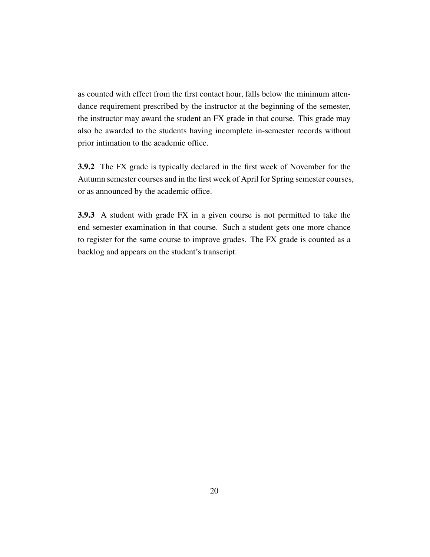as counted with effect from the first contact hour, falls below the minimum attendance requirement prescribed by the instructor at the beginning of the semester, the instructor may award the student an FX grade in that course. This grade may also be awarded to the students having incomplete in-semester records without prior intimation to the academic office.

3.9.2 The FX grade is typically declared in the first week of November for the Autumn semester courses and in the first week of April for Spring semester courses, or as announced by the academic office.

3.9.3 A student with grade FX in a given course is not permitted to take the end semester examination in that course. Such a student gets one more chance to register for the same course to improve grades. The FX grade is counted as a backlog and appears on the student's transcript.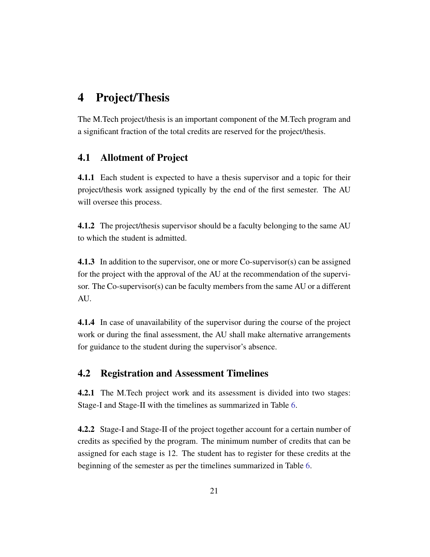# <span id="page-20-0"></span>4 Project/Thesis

The M.Tech project/thesis is an important component of the M.Tech program and a significant fraction of the total credits are reserved for the project/thesis.

## <span id="page-20-1"></span>4.1 Allotment of Project

4.1.1 Each student is expected to have a thesis supervisor and a topic for their project/thesis work assigned typically by the end of the first semester. The AU will oversee this process.

4.1.2 The project/thesis supervisor should be a faculty belonging to the same AU to which the student is admitted.

4.1.3 In addition to the supervisor, one or more Co-supervisor(s) can be assigned for the project with the approval of the AU at the recommendation of the supervisor. The Co-supervisor(s) can be faculty members from the same AU or a different AU.

4.1.4 In case of unavailability of the supervisor during the course of the project work or during the final assessment, the AU shall make alternative arrangements for guidance to the student during the supervisor's absence.

## <span id="page-20-2"></span>4.2 Registration and Assessment Timelines

4.2.1 The M.Tech project work and its assessment is divided into two stages: Stage-I and Stage-II with the timelines as summarized in Table [6.](#page-21-1)

<span id="page-20-3"></span>4.2.2 Stage-I and Stage-II of the project together account for a certain number of credits as specified by the program. The minimum number of credits that can be assigned for each stage is 12. The student has to register for these credits at the beginning of the semester as per the timelines summarized in Table [6.](#page-21-1)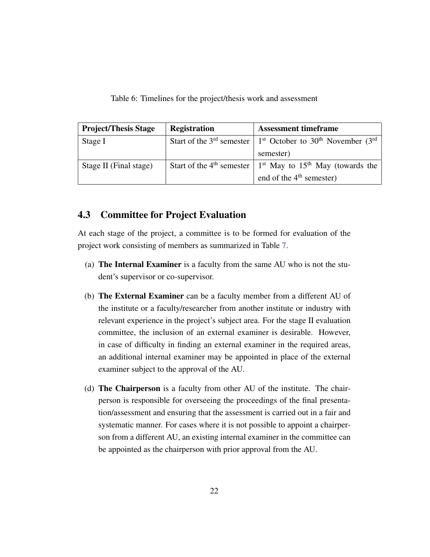<span id="page-21-1"></span>Table 6: Timelines for the project/thesis work and assessment

| <b>Project/Thesis Stage</b> | <b>Registration</b> | <b>Assessment timeframe</b>                                                                                  |
|-----------------------------|---------------------|--------------------------------------------------------------------------------------------------------------|
| Stage I                     |                     | Start of the 3 <sup>rd</sup> semester $\vert 1^{st}$ October to 30 <sup>th</sup> November (3 <sup>rd</sup> ) |
|                             |                     | semester)                                                                                                    |
| Stage II (Final stage)      |                     | Start of the 4 <sup>th</sup> semester $\vert$ 1 <sup>st</sup> May to 15 <sup>th</sup> May (towards the       |
|                             |                     | end of the $4th$ semester)                                                                                   |

## 4.3 Committee for Project Evaluation

At each stage of the project, a committee is to be formed for evaluation of the project work consisting of members as summarized in Table [7.](#page-22-1)

- (a) The Internal Examiner is a faculty from the same AU who is not the student's supervisor or co-supervisor.
- (b) The External Examiner can be a faculty member from a different AU of the institute or a faculty/researcher from another institute or industry with relevant experience in the project's subject area. For the stage II evaluation committee, the inclusion of an external examiner is desirable. However, in case of difficulty in finding an external examiner in the required areas, an additional internal examiner may be appointed in place of the external examiner subject to the approval of the AU.
- <span id="page-21-0"></span>(d) The Chairperson is a faculty from other AU of the institute. The chairperson is responsible for overseeing the proceedings of the final presentation/assessment and ensuring that the assessment is carried out in a fair and systematic manner. For cases where it is not possible to appoint a chairperson from a different AU, an existing internal examiner in the committee can be appointed as the chairperson with prior approval from the AU.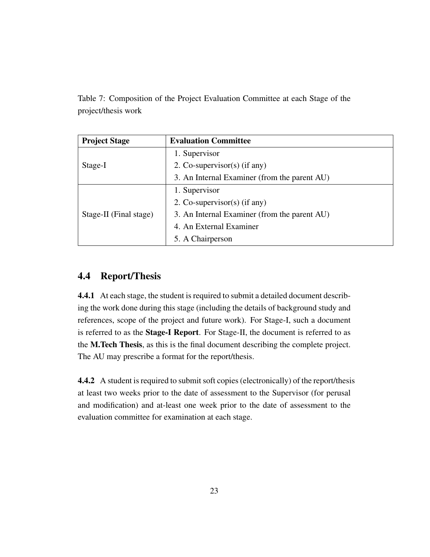<span id="page-22-1"></span>Table 7: Composition of the Project Evaluation Committee at each Stage of the project/thesis work

| <b>Project Stage</b>   | <b>Evaluation Committee</b>                  |  |
|------------------------|----------------------------------------------|--|
|                        | 1. Supervisor                                |  |
| Stage-I                | 2. Co-supervisor(s) (if any)                 |  |
|                        | 3. An Internal Examiner (from the parent AU) |  |
|                        | 1. Supervisor                                |  |
|                        | 2. Co-supervisor(s) (if any)                 |  |
| Stage-II (Final stage) | 3. An Internal Examiner (from the parent AU) |  |
|                        | 4. An External Examiner                      |  |
|                        | 5. A Chairperson                             |  |

## 4.4 Report/Thesis

4.4.1 At each stage, the student is required to submit a detailed document describing the work done during this stage (including the details of background study and references, scope of the project and future work). For Stage-I, such a document is referred to as the Stage-I Report. For Stage-II, the document is referred to as the M.Tech Thesis, as this is the final document describing the complete project. The AU may prescribe a format for the report/thesis.

<span id="page-22-0"></span>4.4.2 A student is required to submit soft copies (electronically) of the report/thesis at least two weeks prior to the date of assessment to the Supervisor (for perusal and modification) and at-least one week prior to the date of assessment to the evaluation committee for examination at each stage.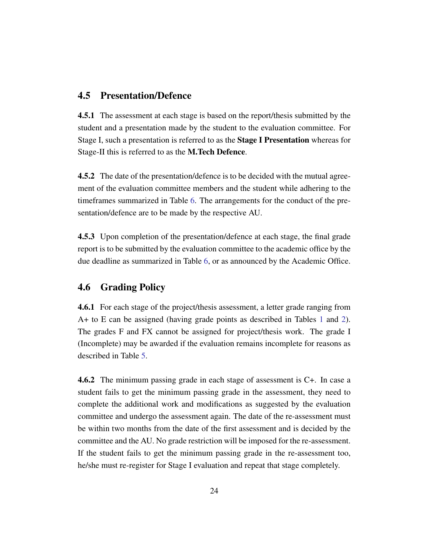## 4.5 Presentation/Defence

4.5.1 The assessment at each stage is based on the report/thesis submitted by the student and a presentation made by the student to the evaluation committee. For Stage I, such a presentation is referred to as the Stage I Presentation whereas for Stage-II this is referred to as the M.Tech Defence.

4.5.2 The date of the presentation/defence is to be decided with the mutual agreement of the evaluation committee members and the student while adhering to the timeframes summarized in Table [6.](#page-21-1) The arrangements for the conduct of the presentation/defence are to be made by the respective AU.

4.5.3 Upon completion of the presentation/defence at each stage, the final grade report is to be submitted by the evaluation committee to the academic office by the due deadline as summarized in Table [6,](#page-21-1) or as announced by the Academic Office.

## <span id="page-23-0"></span>4.6 Grading Policy

4.6.1 For each stage of the project/thesis assessment, a letter grade ranging from A+ to E can be assigned (having grade points as described in Tables [1](#page-15-0) and [2\)](#page-16-0). The grades F and FX cannot be assigned for project/thesis work. The grade I (Incomplete) may be awarded if the evaluation remains incomplete for reasons as described in Table [5.](#page-18-0)

4.6.2 The minimum passing grade in each stage of assessment is C+. In case a student fails to get the minimum passing grade in the assessment, they need to complete the additional work and modifications as suggested by the evaluation committee and undergo the assessment again. The date of the re-assessment must be within two months from the date of the first assessment and is decided by the committee and the AU. No grade restriction will be imposed for the re-assessment. If the student fails to get the minimum passing grade in the re-assessment too, he/she must re-register for Stage I evaluation and repeat that stage completely.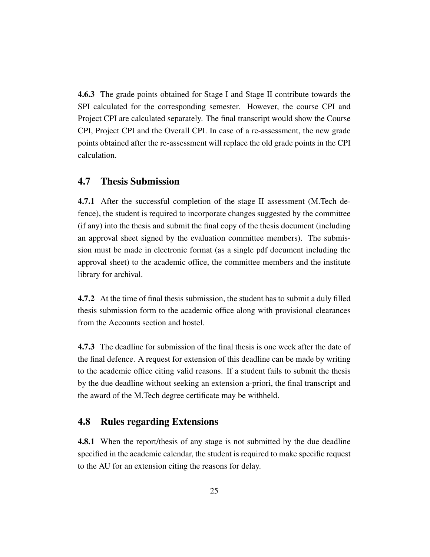4.6.3 The grade points obtained for Stage I and Stage II contribute towards the SPI calculated for the corresponding semester. However, the course CPI and Project CPI are calculated separately. The final transcript would show the Course CPI, Project CPI and the Overall CPI. In case of a re-assessment, the new grade points obtained after the re-assessment will replace the old grade points in the CPI calculation.

#### <span id="page-24-0"></span>4.7 Thesis Submission

4.7.1 After the successful completion of the stage II assessment (M.Tech defence), the student is required to incorporate changes suggested by the committee (if any) into the thesis and submit the final copy of the thesis document (including an approval sheet signed by the evaluation committee members). The submission must be made in electronic format (as a single pdf document including the approval sheet) to the academic office, the committee members and the institute library for archival.

4.7.2 At the time of final thesis submission, the student has to submit a duly filled thesis submission form to the academic office along with provisional clearances from the Accounts section and hostel.

4.7.3 The deadline for submission of the final thesis is one week after the date of the final defence. A request for extension of this deadline can be made by writing to the academic office citing valid reasons. If a student fails to submit the thesis by the due deadline without seeking an extension a-priori, the final transcript and the award of the M.Tech degree certificate may be withheld.

#### <span id="page-24-1"></span>4.8 Rules regarding Extensions

**4.8.1** When the report/thesis of any stage is not submitted by the due deadline specified in the academic calendar, the student is required to make specific request to the AU for an extension citing the reasons for delay.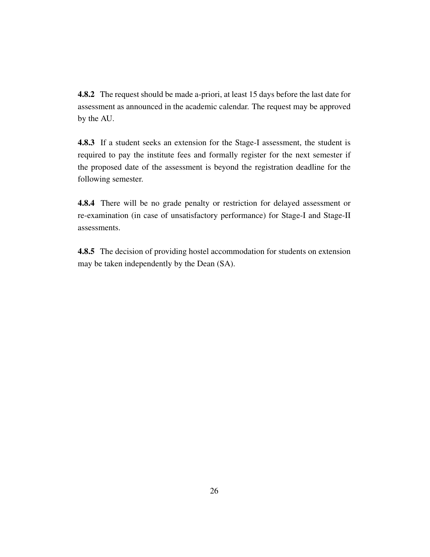4.8.2 The request should be made a-priori, at least 15 days before the last date for assessment as announced in the academic calendar. The request may be approved by the AU.

4.8.3 If a student seeks an extension for the Stage-I assessment, the student is required to pay the institute fees and formally register for the next semester if the proposed date of the assessment is beyond the registration deadline for the following semester.

4.8.4 There will be no grade penalty or restriction for delayed assessment or re-examination (in case of unsatisfactory performance) for Stage-I and Stage-II assessments.

4.8.5 The decision of providing hostel accommodation for students on extension may be taken independently by the Dean (SA).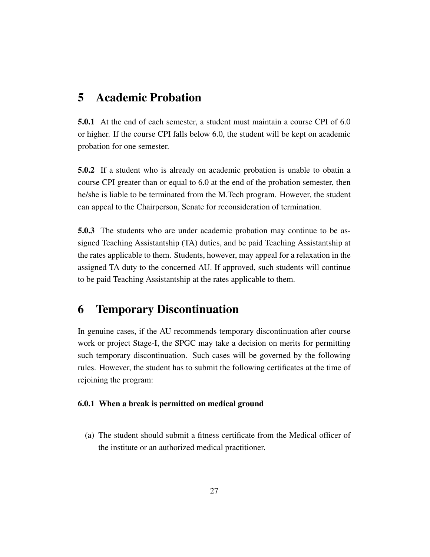# <span id="page-26-0"></span>5 Academic Probation

5.0.1 At the end of each semester, a student must maintain a course CPI of 6.0 or higher. If the course CPI falls below 6.0, the student will be kept on academic probation for one semester.

5.0.2 If a student who is already on academic probation is unable to obatin a course CPI greater than or equal to 6.0 at the end of the probation semester, then he/she is liable to be terminated from the M.Tech program. However, the student can appeal to the Chairperson, Senate for reconsideration of termination.

5.0.3 The students who are under academic probation may continue to be assigned Teaching Assistantship (TA) duties, and be paid Teaching Assistantship at the rates applicable to them. Students, however, may appeal for a relaxation in the assigned TA duty to the concerned AU. If approved, such students will continue to be paid Teaching Assistantship at the rates applicable to them.

# <span id="page-26-1"></span>6 Temporary Discontinuation

In genuine cases, if the AU recommends temporary discontinuation after course work or project Stage-I, the SPGC may take a decision on merits for permitting such temporary discontinuation. Such cases will be governed by the following rules. However, the student has to submit the following certificates at the time of rejoining the program:

#### 6.0.1 When a break is permitted on medical ground

(a) The student should submit a fitness certificate from the Medical officer of the institute or an authorized medical practitioner.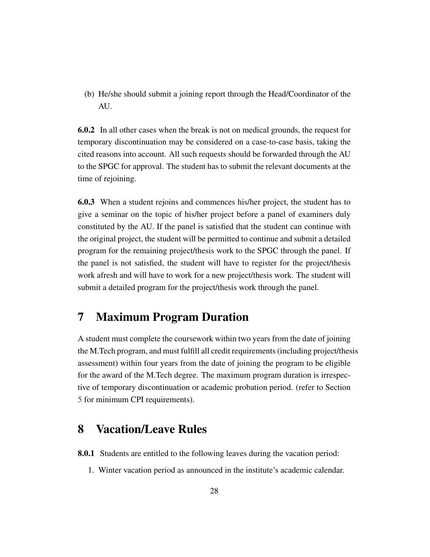(b) He/she should submit a joining report through the Head/Coordinator of the AU.

6.0.2 In all other cases when the break is not on medical grounds, the request for temporary discontinuation may be considered on a case-to-case basis, taking the cited reasons into account. All such requests should be forwarded through the AU to the SPGC for approval. The student has to submit the relevant documents at the time of rejoining.

6.0.3 When a student rejoins and commences his/her project, the student has to give a seminar on the topic of his/her project before a panel of examiners duly constituted by the AU. If the panel is satisfied that the student can continue with the original project, the student will be permitted to continue and submit a detailed program for the remaining project/thesis work to the SPGC through the panel. If the panel is not satisfied, the student will have to register for the project/thesis work afresh and will have to work for a new project/thesis work. The student will submit a detailed program for the project/thesis work through the panel.

# <span id="page-27-0"></span>7 Maximum Program Duration

A student must complete the coursework within two years from the date of joining the M.Tech program, and must fulfill all credit requirements (including project/thesis assessment) within four years from the date of joining the program to be eligible for the award of the M.Tech degree. The maximum program duration is irrespective of temporary discontinuation or academic probation period. (refer to Section [5](#page-26-0) for minimum CPI requirements).

# <span id="page-27-1"></span>8 Vacation/Leave Rules

8.0.1 Students are entitled to the following leaves during the vacation period:

1. Winter vacation period as announced in the institute's academic calendar.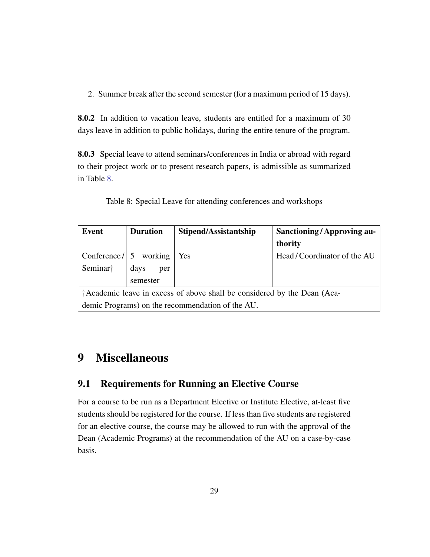2. Summer break after the second semester (for a maximum period of 15 days).

8.0.2 In addition to vacation leave, students are entitled for a maximum of 30 days leave in addition to public holidays, during the entire tenure of the program.

8.0.3 Special leave to attend seminars/conferences in India or abroad with regard to their project work or to present research papers, is admissible as summarized in Table [8.](#page-28-3)

| <b>Duration</b><br>Event                                                 |             | Stipend/Assistantship | <b>Sanctioning/Approving au-</b> |  |  |
|--------------------------------------------------------------------------|-------------|-----------------------|----------------------------------|--|--|
|                                                                          |             |                       | thority                          |  |  |
| Conference $/ 5$ working                                                 |             | Yes                   | Head/Coordinator of the AU       |  |  |
| Seminar <sup>†</sup>                                                     | days<br>per |                       |                                  |  |  |
|                                                                          | semester    |                       |                                  |  |  |
| †Academic leave in excess of above shall be considered by the Dean (Aca- |             |                       |                                  |  |  |
| demic Programs) on the recommendation of the AU.                         |             |                       |                                  |  |  |

<span id="page-28-3"></span>Table 8: Special Leave for attending conferences and workshops

# <span id="page-28-0"></span>9 Miscellaneous

## <span id="page-28-1"></span>9.1 Requirements for Running an Elective Course

<span id="page-28-2"></span>For a course to be run as a Department Elective or Institute Elective, at-least five students should be registered for the course. If less than five students are registered for an elective course, the course may be allowed to run with the approval of the Dean (Academic Programs) at the recommendation of the AU on a case-by-case basis.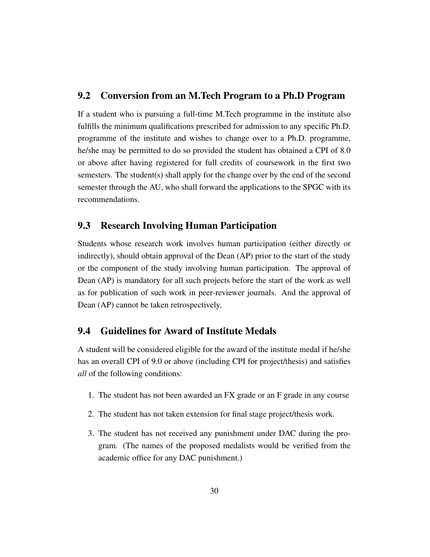#### 9.2 Conversion from an M.Tech Program to a Ph.D Program

If a student who is pursuing a full-time M.Tech programme in the institute also fulfills the minimum qualifications prescribed for admission to any specific Ph.D. programme of the institute and wishes to change over to a Ph.D. programme, he/she may be permitted to do so provided the student has obtained a CPI of 8.0 or above after having registered for full credits of coursework in the first two semesters. The student(s) shall apply for the change over by the end of the second semester through the AU, who shall forward the applications to the SPGC with its recommendations.

## <span id="page-29-0"></span>9.3 Research Involving Human Participation

Students whose research work involves human participation (either directly or indirectly), should obtain approval of the Dean (AP) prior to the start of the study or the component of the study involving human participation. The approval of Dean (AP) is mandatory for all such projects before the start of the work as well as for publication of such work in peer-reviewer journals. And the approval of Dean (AP) cannot be taken retrospectively.

## <span id="page-29-1"></span>9.4 Guidelines for Award of Institute Medals

A student will be considered eligible for the award of the institute medal if he/she has an overall CPI of 9.0 or above (including CPI for project/thesis) and satisfies *all* of the following conditions:

- 1. The student has not been awarded an FX grade or an F grade in any course
- 2. The student has not taken extension for final stage project/thesis work.
- 3. The student has not received any punishment under DAC during the program. (The names of the proposed medalists would be verified from the academic office for any DAC punishment.)